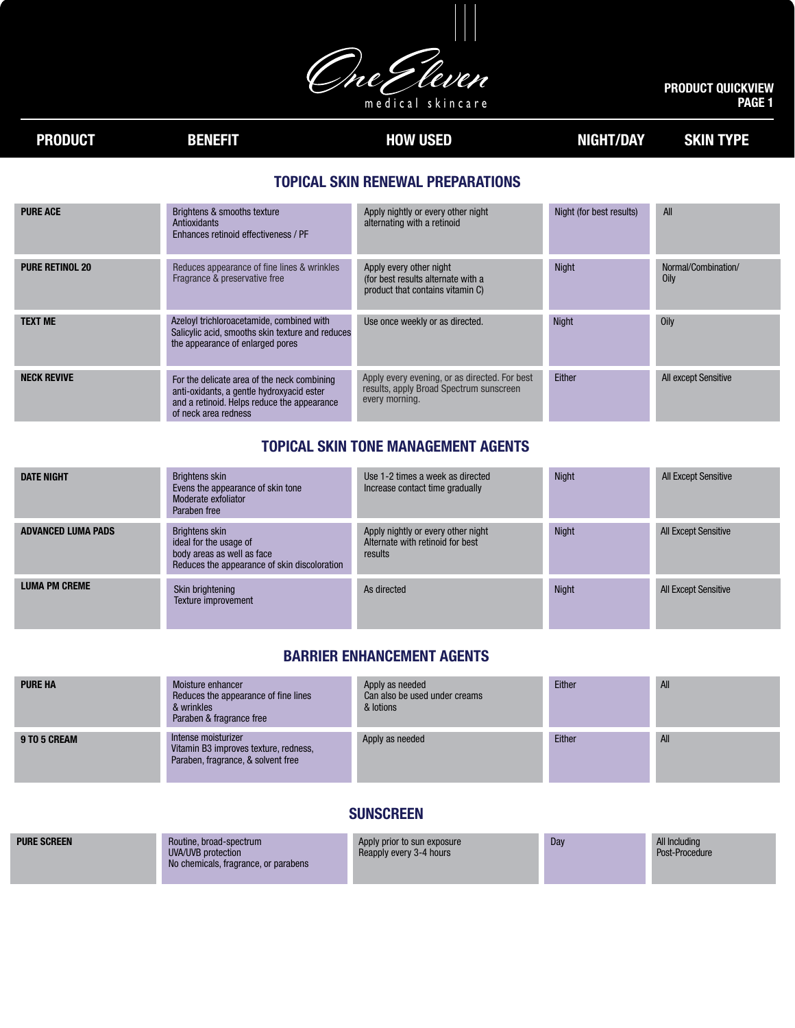met leven m e d i c a l sk i n c a r e

#### PRODUCT QUICKVIEW PAGE 1

# PRODUCT BENEFIT BENEFIT HOW USED NIGHT/DAY SKIN TYPE

# TOPICAL SKIN RENEWAL PREPARATIONS

| <b>PURE ACE</b>        | Brightens & smooths texture<br>Antioxidants<br>Enhances retinoid effectiveness / PF                                                                             | Apply nightly or every other night<br>alternating with a retinoid                                          | Night (for best results) | <b>All</b>                  |
|------------------------|-----------------------------------------------------------------------------------------------------------------------------------------------------------------|------------------------------------------------------------------------------------------------------------|--------------------------|-----------------------------|
| <b>PURE RETINOL 20</b> | Reduces appearance of fine lines & wrinkles<br>Fragrance & preservative free                                                                                    | Apply every other night<br>(for best results alternate with a<br>product that contains vitamin C)          | <b>Night</b>             | Normal/Combination/<br>Oily |
| <b>TEXT ME</b>         | Azeloyl trichloroacetamide, combined with<br>Salicylic acid, smooths skin texture and reduces<br>the appearance of enlarged pores                               | Use once weekly or as directed.                                                                            | <b>Night</b>             | Oily                        |
| <b>NECK REVIVE</b>     | For the delicate area of the neck combining<br>anti-oxidants, a gentle hydroxyacid ester<br>and a retinoid. Helps reduce the appearance<br>of neck area redness | Apply every evening, or as directed. For best<br>results, apply Broad Spectrum sunscreen<br>every morning. | Either                   | <b>All except Sensitive</b> |

### TOPICAL SKIN TONE MANAGEMENT AGENTS

| <b>DATE NIGHT</b>         | Brightens skin<br>Evens the appearance of skin tone<br>Moderate exfoliator<br>Paraben free                                    | Use 1-2 times a week as directed<br>Increase contact time gradually               | <b>Night</b> | <b>All Except Sensitive</b> |
|---------------------------|-------------------------------------------------------------------------------------------------------------------------------|-----------------------------------------------------------------------------------|--------------|-----------------------------|
| <b>ADVANCED LUMA PADS</b> | <b>Brightens skin</b><br>ideal for the usage of<br>body areas as well as face<br>Reduces the appearance of skin discoloration | Apply nightly or every other night<br>Alternate with retinoid for best<br>results | <b>Night</b> | <b>All Except Sensitive</b> |
| <b>LUMA PM CREME</b>      | Skin brightening<br>Texture improvement                                                                                       | As directed                                                                       | <b>Night</b> | <b>All Except Sensitive</b> |

#### BARRIER ENHANCEMENT AGENTS

| <b>PURE HA</b> | Moisture enhancer<br>Reduces the appearance of fine lines<br>& wrinkles<br>Paraben & fragrance free | Apply as needed<br>Can also be used under creams<br>& lotions | Either | All |
|----------------|-----------------------------------------------------------------------------------------------------|---------------------------------------------------------------|--------|-----|
| 9 TO 5 CREAM   | Intense moisturizer<br>Vitamin B3 improves texture, redness,<br>Paraben, fragrance, & solvent free  | Apply as needed                                               | Either | All |

## SUNSCREEN

| No chemicals, fragrance, or parabens | <b>PURE SCREEN</b> | Routine, broad-spectrum<br>UVA/UVB protection | Apply prior to sun exposure<br>Reapply every 3-4 hours | Day | All Including<br>Post-Procedure |
|--------------------------------------|--------------------|-----------------------------------------------|--------------------------------------------------------|-----|---------------------------------|
|--------------------------------------|--------------------|-----------------------------------------------|--------------------------------------------------------|-----|---------------------------------|